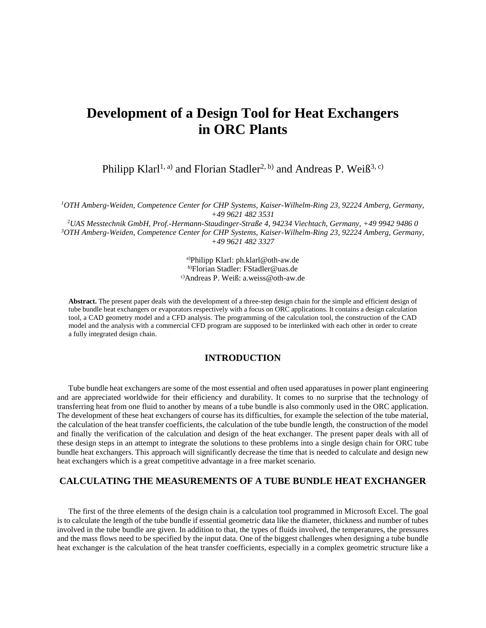# **Development of a Design Tool for Heat Exchangers in ORC Plants**

Philipp Klarl<sup>1, a)</sup> and Florian Stadler<sup>2, b)</sup> and Andreas P. Weiß<sup>3, c)</sup>

*<sup>1</sup>OTH Amberg-Weiden, Competence Center for CHP Systems, Kaiser-Wilhelm-Ring 23, 92224 Amberg, Germany, +49 9621 482 3531*

<sup>2</sup>*UAS Messtechnik GmbH, Prof.-Hermann-Staudinger-Straße 4, 94234 Viechtach, Germany, +49 9942 9486 0 <sup>3</sup>OTH Amberg-Weiden, Competence Center for CHP Systems, Kaiser-Wilhelm-Ring 23, 92224 Amberg, Germany, +49 9621 482 3327*

> a)Philipp Klarl: ph.klarl@oth-aw.de b)Florian Stadler: FStadler@uas.de c)Andreas P. Weiß: a.weiss@oth-aw.de

**Abstract.** The present paper deals with the development of a three-step design chain for the simple and efficient design of tube bundle heat exchangers or evaporators respectively with a focus on ORC applications. It contains a design calculation tool, a CAD geometry model and a CFD analysis. The programming of the calculation tool, the construction of the CAD model and the analysis with a commercial CFD program are supposed to be interlinked with each other in order to create a fully integrated design chain.

## **INTRODUCTION**

Tube bundle heat exchangers are some of the most essential and often used apparatuses in power plant engineering and are appreciated worldwide for their efficiency and durability. It comes to no surprise that the technology of transferring heat from one fluid to another by means of a tube bundle is also commonly used in the ORC application. The development of these heat exchangers of course has its difficulties, for example the selection of the tube material, the calculation of the heat transfer coefficients, the calculation of the tube bundle length, the construction of the model and finally the verification of the calculation and design of the heat exchanger. The present paper deals with all of these design steps in an attempt to integrate the solutions to these problems into a single design chain for ORC tube bundle heat exchangers. This approach will significantly decrease the time that is needed to calculate and design new heat exchangers which is a great competitive advantage in a free market scenario.

## **CALCULATING THE MEASUREMENTS OF A TUBE BUNDLE HEAT EXCHANGER**

The first of the three elements of the design chain is a calculation tool programmed in Microsoft Excel. The goal is to calculate the length of the tube bundle if essential geometric data like the diameter, thickness and number of tubes involved in the tube bundle are given. In addition to that, the types of fluids involved, the temperatures, the pressures and the mass flows need to be specified by the input data. One of the biggest challenges when designing a tube bundle heat exchanger is the calculation of the heat transfer coefficients, especially in a complex geometric structure like a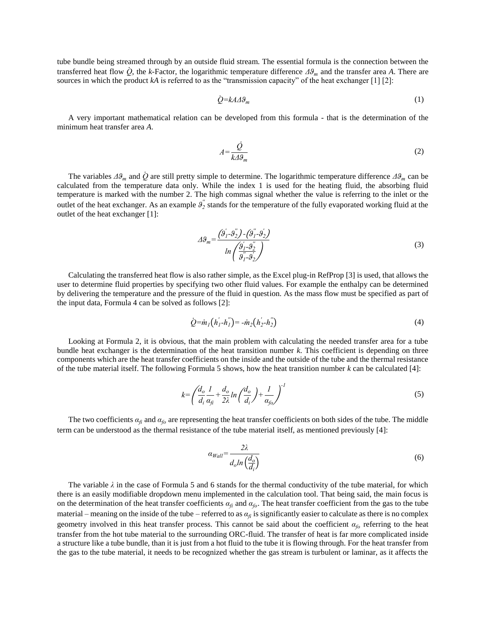tube bundle being streamed through by an outside fluid stream. The essential formula is the connection between the transferred heat flow *Q*̇ , the *k*-Factor, the logarithmic temperature difference *Δϑ<sup>m</sup>* and the transfer area *A*. There are sources in which the product *kA* is referred to as the "transmission capacity" of the heat exchanger [1] [2]:

$$
\dot{Q} = kA\Delta\theta_m \tag{1}
$$

A very important mathematical relation can be developed from this formula - that is the determination of the minimum heat transfer area *A*.

$$
A = \frac{\dot{Q}}{k \Delta \theta_m} \tag{2}
$$

The variables  $\Delta\theta_m$  and  $\dot{Q}$  are still pretty simple to determine. The logarithmic temperature difference  $\Delta\theta_m$  can be calculated from the temperature data only. While the index 1 is used for the heating fluid, the absorbing fluid temperature is marked with the number 2. The high commas signal whether the value is referring to the inlet or the outlet of the heat exchanger. As an example  $\theta_2^{\prime\prime}$  stands for the temperature of the fully evaporated working fluid at the outlet of the heat exchanger [1]:

$$
\Delta\theta_m = \frac{(\hat{\theta}_1' \cdot \hat{\theta}_2') - (\hat{\theta}_1'' \cdot \hat{\theta}_2')}{\ln\left(\frac{\hat{\theta}_1' \cdot \hat{\theta}_2''}{\hat{\theta}_1' \cdot \hat{\theta}_2'}\right)}
$$
(3)

Calculating the transferred heat flow is also rather simple, as the Excel plug-in RefProp [3] is used, that allows the user to determine fluid properties by specifying two other fluid values. For example the enthalpy can be determined by delivering the temperature and the pressure of the fluid in question. As the mass flow must be specified as part of the input data, Formula 4 can be solved as follows [2]:

$$
\dot{Q} = \dot{m}_1 (h_1' - h_1'') = -\dot{m}_2 (h_2' - h_2'')
$$
\n(4)

Looking at Formula 2, it is obvious, that the main problem with calculating the needed transfer area for a tube bundle heat exchanger is the determination of the heat transition number *k*. This coefficient is depending on three components which are the heat transfer coefficients on the inside and the outside of the tube and the thermal resistance of the tube material itself. The following Formula 5 shows, how the heat transition number *k* can be calculated [4]:

$$
k = \left(\frac{d_o}{d_i}\frac{l}{\alpha_{fi}} + \frac{d_o}{2\lambda}ln\left(\frac{d_o}{d_i}\right) + \frac{l}{\alpha_{fo}}\right)^l
$$
\n<sup>(5)</sup>

The two coefficients  $a_f$  and  $a_f$  are representing the heat transfer coefficients on both sides of the tube. The middle term can be understood as the thermal resistance of the tube material itself, as mentioned previously [4]:

$$
\alpha_{Wall} = \frac{2\lambda}{d_o \ln\left(\frac{d_o}{d_i}\right)}\tag{6}
$$

The variable  $\lambda$  in the case of Formula 5 and 6 stands for the thermal conductivity of the tube material, for which there is an easily modifiable dropdown menu implemented in the calculation tool. That being said, the main focus is on the determination of the heat transfer coefficients  $a_f$  and  $a_f$ . The heat transfer coefficient from the gas to the tube material – meaning on the inside of the tube – referred to as  $a_f$  is significantly easier to calculate as there is no complex geometry involved in this heat transfer process. This cannot be said about the coefficient *αfo* referring to the heat transfer from the hot tube material to the surrounding ORC-fluid. The transfer of heat is far more complicated inside a structure like a tube bundle, than it is just from a hot fluid to the tube it is flowing through. For the heat transfer from the gas to the tube material, it needs to be recognized whether the gas stream is turbulent or laminar, as it affects the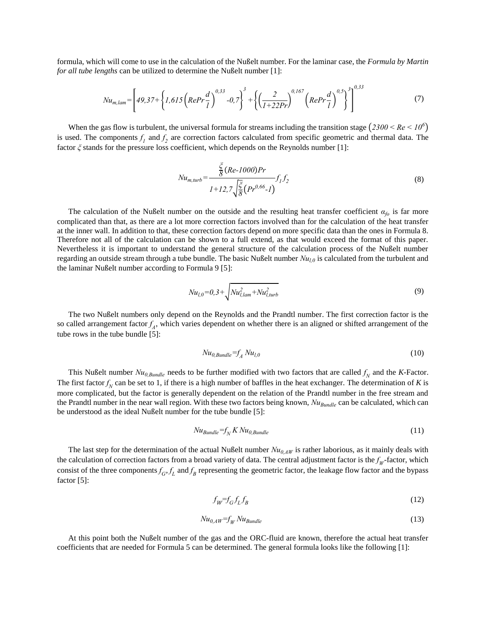formula, which will come to use in the calculation of the Nußelt number. For the laminar case, the *Formula by Martin for all tube lengths* can be utilized to determine the Nußelt number [1]:

$$
Nu_{m,lam} = \left[49,37 + \left\{1,615\left(RePr\frac{d}{l}\right)^{0.33} - 0.7\right\}^3 + \left\{\left(\frac{2}{1+22Pr}\right)^{0.167}\left(RePr\frac{d}{l}\right)^{0.5}\right\}^3\right]^{0.33}
$$
(7)

When the gas flow is turbulent, the universal formula for streams including the transition stage  $(2300 < Re < 10^6)$ is used. The components  $f_1$  and  $f_2$  are correction factors calculated from specific geometric and thermal data. The factor *ξ* stands for the pressure loss coefficient, which depends on the Reynolds number [1]:

$$
Nu_{m, turb} = \frac{\frac{\xi}{\delta}(Re\text{-}1000)Pr}{I + 12.7\sqrt{\frac{\xi}{\delta}}(Pr^{0.66}\text{-}I)} f_1 f_2
$$
\n(8)

The calculation of the Nußelt number on the outside and the resulting heat transfer coefficient  $\alpha_{\ell}$  is far more complicated than that, as there are a lot more correction factors involved than for the calculation of the heat transfer at the inner wall. In addition to that, these correction factors depend on more specific data than the ones in Formula 8. Therefore not all of the calculation can be shown to a full extend, as that would exceed the format of this paper. Nevertheless it is important to understand the general structure of the calculation process of the Nußelt number regarding an outside stream through a tube bundle. The basic Nußelt number *Nul,0* is calculated from the turbulent and the laminar Nußelt number according to Formula 9 [5]:

$$
Nu_{l,0}=0,3+\sqrt{Nu_{l,lam}^2+Nu_{l, turb}^2}
$$
\n(9)

The two Nußelt numbers only depend on the Reynolds and the Prandtl number. The first correction factor is the so called arrangement factor  $f_A$ , which varies dependent on whether there is an aligned or shifted arrangement of the tube rows in the tube bundle [5]:

$$
Nu_{0,Bundle} = f_A Nu_{l,0}
$$
\n<sup>(10)</sup>

This Nußelt number  $Nu_{0,Bundle}$  needs to be further modified with two factors that are called  $f_N$  and the *K*-Factor. The first factor  $f_N$  can be set to 1, if there is a high number of baffles in the heat exchanger. The determination of *K* is more complicated, but the factor is generally dependent on the relation of the Prandtl number in the free stream and the Prandtl number in the near wall region. With these two factors being known, *NuBundle* can be calculated, which can be understood as the ideal Nußelt number for the tube bundle [5]:

$$
Nu_{Bundle} = f_N K Nu_{0,Bundle}
$$
\n<sup>(11)</sup>

The last step for the determination of the actual Nußelt number  $Nu_{0,AW}$  is rather laborious, as it mainly deals with the calculation of correction factors from a broad variety of data. The central adjustment factor is the  $f_W$ -factor, which consist of the three components  $f_G$ ,  $f_L$  and  $f_B$  representing the geometric factor, the leakage flow factor and the bypass factor [5]:

$$
f_W = f_G f_L f_B \tag{12}
$$

$$
Nu_{0,AW}=f_WNu_{Bundle}
$$
 (13)

At this point both the Nußelt number of the gas and the ORC-fluid are known, therefore the actual heat transfer coefficients that are needed for Formula 5 can be determined. The general formula looks like the following [1]: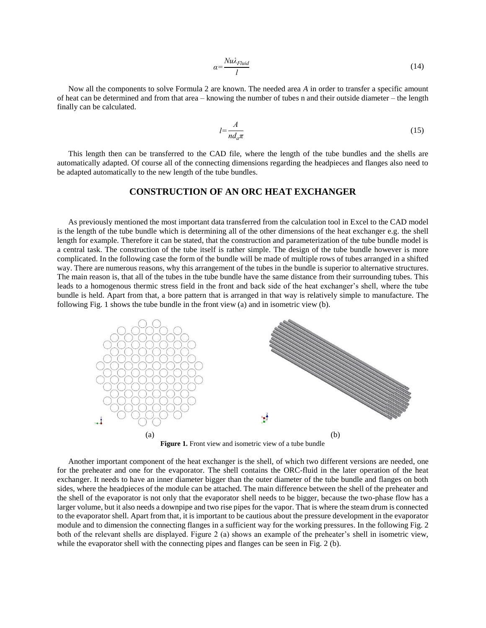$$
\alpha = \frac{Nu\lambda_{Fluid}}{l} \tag{14}
$$

Now all the components to solve Formula 2 are known. The needed area *A* in order to transfer a specific amount of heat can be determined and from that area – knowing the number of tubes n and their outside diameter – the length finally can be calculated.

$$
l = \frac{A}{n d_a \pi} \tag{15}
$$

This length then can be transferred to the CAD file, where the length of the tube bundles and the shells are automatically adapted. Of course all of the connecting dimensions regarding the headpieces and flanges also need to be adapted automatically to the new length of the tube bundles.

# **CONSTRUCTION OF AN ORC HEAT EXCHANGER**

As previously mentioned the most important data transferred from the calculation tool in Excel to the CAD model is the length of the tube bundle which is determining all of the other dimensions of the heat exchanger e.g. the shell length for example. Therefore it can be stated, that the construction and parameterization of the tube bundle model is a central task. The construction of the tube itself is rather simple. The design of the tube bundle however is more complicated. In the following case the form of the bundle will be made of multiple rows of tubes arranged in a shifted way. There are numerous reasons, why this arrangement of the tubes in the bundle is superior to alternative structures. The main reason is, that all of the tubes in the tube bundle have the same distance from their surrounding tubes. This leads to a homogenous thermic stress field in the front and back side of the heat exchanger's shell, where the tube bundle is held. Apart from that, a bore pattern that is arranged in that way is relatively simple to manufacture. The following Fig. 1 shows the tube bundle in the front view (a) and in isometric view (b).



**Figure 1.** Front view and isometric view of a tube bundle

Another important component of the heat exchanger is the shell, of which two different versions are needed, one for the preheater and one for the evaporator. The shell contains the ORC-fluid in the later operation of the heat exchanger. It needs to have an inner diameter bigger than the outer diameter of the tube bundle and flanges on both sides, where the headpieces of the module can be attached. The main difference between the shell of the preheater and the shell of the evaporator is not only that the evaporator shell needs to be bigger, because the two-phase flow has a larger volume, but it also needs a downpipe and two rise pipes for the vapor. That is where the steam drum is connected to the evaporator shell. Apart from that, it is important to be cautious about the pressure development in the evaporator module and to dimension the connecting flanges in a sufficient way for the working pressures. In the following Fig. 2 both of the relevant shells are displayed. Figure 2 (a) shows an example of the preheater's shell in isometric view, while the evaporator shell with the connecting pipes and flanges can be seen in Fig. 2 (b).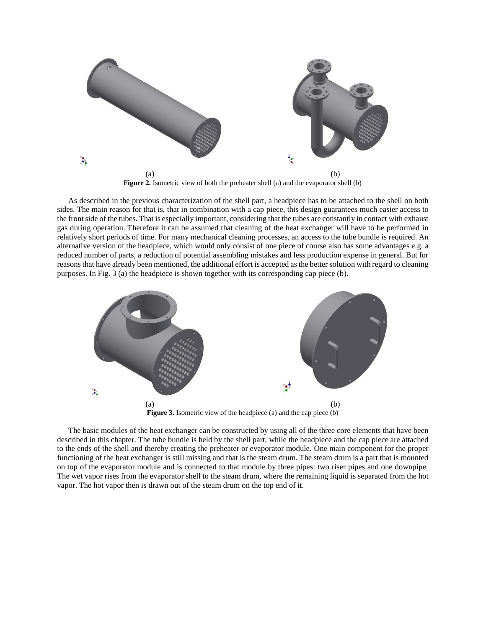

Figure 2. Isometric view of both the preheater shell (a) and the evaporator shell (b)

As described in the previous characterization of the shell part, a headpiece has to be attached to the shell on both sides. The main reason for that is, that in combination with a cap piece, this design guarantees much easier access to the front side of the tubes. That is especially important, considering that the tubes are constantly in contact with exhaust gas during operation. Therefore it can be assumed that cleaning of the heat exchanger will have to be performed in relatively short periods of time. For many mechanical cleaning processes, an access to the tube bundle is required. An alternative version of the headpiece, which would only consist of one piece of course also has some advantages e.g. a reduced number of parts, a reduction of potential assembling mistakes and less production expense in general. But for reasons that have already been mentioned, the additional effort is accepted as the better solution with regard to cleaning purposes. In Fig. 3 (a) the headpiece is shown together with its corresponding cap piece (b).



The basic modules of the heat exchanger can be constructed by using all of the three core elements that have been described in this chapter. The tube bundle is held by the shell part, while the headpiece and the cap piece are attached to the ends of the shell and thereby creating the preheater or evaporator module. One main component for the proper functioning of the heat exchanger is still missing and that is the steam drum. The steam drum is a part that is mounted on top of the evaporator module and is connected to that module by three pipes: two riser pipes and one downpipe. The wet vapor rises from the evaporator shell to the steam drum, where the remaining liquid is separated from the hot vapor. The hot vapor then is drawn out of the steam drum on the top end of it.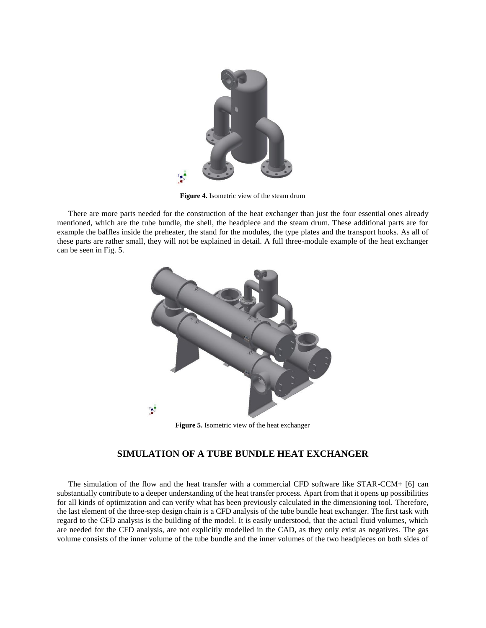

**Figure 4.** Isometric view of the steam drum

There are more parts needed for the construction of the heat exchanger than just the four essential ones already mentioned, which are the tube bundle, the shell, the headpiece and the steam drum. These additional parts are for example the baffles inside the preheater, the stand for the modules, the type plates and the transport hooks. As all of these parts are rather small, they will not be explained in detail. A full three-module example of the heat exchanger can be seen in Fig. 5.



**Figure 5.** Isometric view of the heat exchanger

# **SIMULATION OF A TUBE BUNDLE HEAT EXCHANGER**

The simulation of the flow and the heat transfer with a commercial CFD software like STAR-CCM+ [6] can substantially contribute to a deeper understanding of the heat transfer process. Apart from that it opens up possibilities for all kinds of optimization and can verify what has been previously calculated in the dimensioning tool. Therefore, the last element of the three-step design chain is a CFD analysis of the tube bundle heat exchanger. The first task with regard to the CFD analysis is the building of the model. It is easily understood, that the actual fluid volumes, which are needed for the CFD analysis, are not explicitly modelled in the CAD, as they only exist as negatives. The gas volume consists of the inner volume of the tube bundle and the inner volumes of the two headpieces on both sides of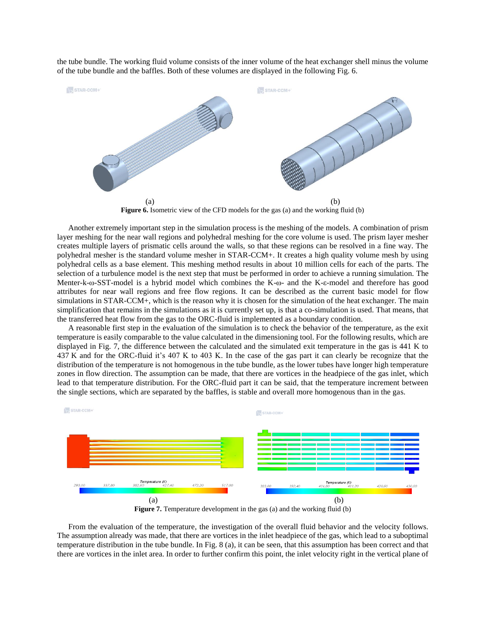the tube bundle. The working fluid volume consists of the inner volume of the heat exchanger shell minus the volume of the tube bundle and the baffles. Both of these volumes are displayed in the following Fig. 6.



**Figure 6.** Isometric view of the CFD models for the gas (a) and the working fluid (b)

Another extremely important step in the simulation process is the meshing of the models. A combination of prism layer meshing for the near wall regions and polyhedral meshing for the core volume is used. The prism layer mesher creates multiple layers of prismatic cells around the walls, so that these regions can be resolved in a fine way. The polyhedral mesher is the standard volume mesher in STAR-CCM+. It creates a high quality volume mesh by using polyhedral cells as a base element. This meshing method results in about 10 million cells for each of the parts. The selection of a turbulence model is the next step that must be performed in order to achieve a running simulation. The Menter-k-ω-SST-model is a hybrid model which combines the K-ω- and the K-ε-model and therefore has good attributes for near wall regions and free flow regions. It can be described as the current basic model for flow simulations in STAR-CCM+, which is the reason why it is chosen for the simulation of the heat exchanger. The main simplification that remains in the simulations as it is currently set up, is that a co-simulation is used. That means, that the transferred heat flow from the gas to the ORC-fluid is implemented as a boundary condition.

A reasonable first step in the evaluation of the simulation is to check the behavior of the temperature, as the exit temperature is easily comparable to the value calculated in the dimensioning tool. For the following results, which are displayed in Fig. 7, the difference between the calculated and the simulated exit temperature in the gas is 441 K to 437 K and for the ORC-fluid it's 407 K to 403 K. In the case of the gas part it can clearly be recognize that the distribution of the temperature is not homogenous in the tube bundle, as the lower tubes have longer high temperature zones in flow direction. The assumption can be made, that there are vortices in the headpiece of the gas inlet, which lead to that temperature distribution. For the ORC-fluid part it can be said, that the temperature increment between the single sections, which are separated by the baffles, is stable and overall more homogenous than in the gas.



From the evaluation of the temperature, the investigation of the overall fluid behavior and the velocity follows. The assumption already was made, that there are vortices in the inlet headpiece of the gas, which lead to a suboptimal temperature distribution in the tube bundle. In Fig. 8 (a), it can be seen, that this assumption has been correct and that there are vortices in the inlet area. In order to further confirm this point, the inlet velocity right in the vertical plane of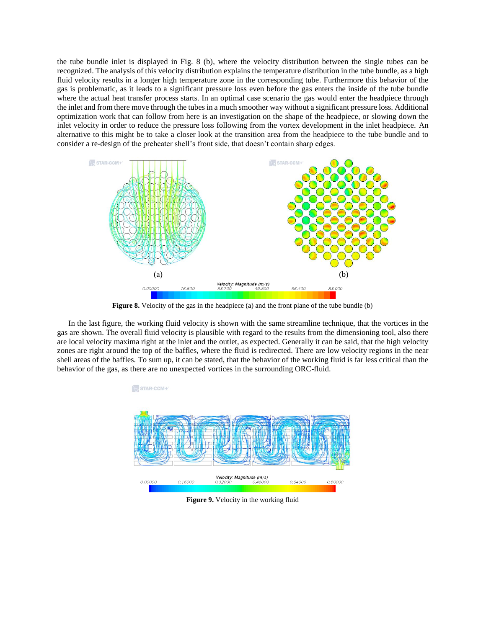the tube bundle inlet is displayed in Fig. 8 (b), where the velocity distribution between the single tubes can be recognized. The analysis of this velocity distribution explains the temperature distribution in the tube bundle, as a high fluid velocity results in a longer high temperature zone in the corresponding tube. Furthermore this behavior of the gas is problematic, as it leads to a significant pressure loss even before the gas enters the inside of the tube bundle where the actual heat transfer process starts. In an optimal case scenario the gas would enter the headpiece through the inlet and from there move through the tubes in a much smoother way without a significant pressure loss. Additional optimization work that can follow from here is an investigation on the shape of the headpiece, or slowing down the inlet velocity in order to reduce the pressure loss following from the vortex development in the inlet headpiece. An alternative to this might be to take a closer look at the transition area from the headpiece to the tube bundle and to consider a re-design of the preheater shell's front side, that doesn't contain sharp edges.



Figure 8. Velocity of the gas in the headpiece (a) and the front plane of the tube bundle (b)

In the last figure, the working fluid velocity is shown with the same streamline technique, that the vortices in the gas are shown. The overall fluid velocity is plausible with regard to the results from the dimensioning tool, also there are local velocity maxima right at the inlet and the outlet, as expected. Generally it can be said, that the high velocity zones are right around the top of the baffles, where the fluid is redirected. There are low velocity regions in the near shell areas of the baffles. To sum up, it can be stated, that the behavior of the working fluid is far less critical than the behavior of the gas, as there are no unexpected vortices in the surrounding ORC-fluid.



**Figure 9.** Velocity in the working fluid